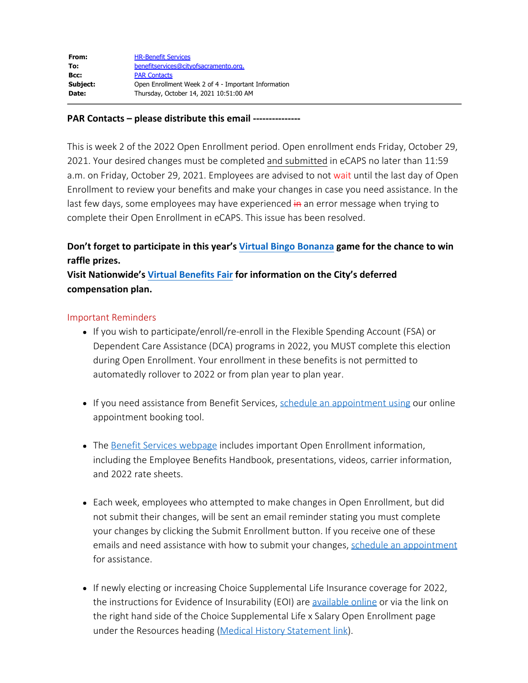## **PAR Contacts – please distribute this email ---------------**

This is week 2 of the 2022 Open Enrollment period. Open enrollment ends Friday, October 29, 2021. Your desired changes must be completed and submitted in eCAPS no later than 11:59 a.m. on Friday, October 29, 2021. Employees are advised to not wait until the last day of Open Enrollment to review your benefits and make your changes in case you need assistance. In the last few days, some employees may have experienced in an error message when trying to complete their Open Enrollment in eCAPS. This issue has been resolved.

## **Don't forget to participate in this year's [Virtual Bingo Bonanza](http://www.cityofsacramento.org/-/media/Corporate/Files/HR/Divisions/Benefits/2022-OE/2022OE_virtual_bonanza_bingo.pdf?la=en) game for the chance to win raffle prizes.**

**Visit Nationwide's [Virtual Benefits Fair](https://metroconnectionsvbooth.com/Nationwide_Multi_Booth_2021/City_of_Sacramento_Deferred_Compensation_Plan) for information on the City's deferred compensation plan.**

## Important Reminders

- If you wish to participate/enroll/re-enroll in the Flexible Spending Account (FSA) or Dependent Care Assistance (DCA) programs in 2022, you MUST complete this election during Open Enrollment. Your enrollment in these benefits is not permitted to automatedly rollover to 2022 or from plan year to plan year.
- If you need assistance from Benefit Services, [schedule an appointment using](https://outlook.office365.com/owa/calendar/BenefitServicesHumanResources@saccity.onmicrosoft.com/bookings/) our online appointment booking tool.
- The [Benefit Services webpage](http://www.cityofsacramento.org/HR/Divisions/Benefits-Retirement) includes important Open Enrollment information, including the Employee Benefits Handbook, presentations, videos, carrier information, and 2022 rate sheets.
- Each week, employees who attempted to make changes in Open Enrollment, but did not submit their changes, will be sent an email reminder stating you must complete your changes by clicking the Submit Enrollment button. If you receive one of these emails and need assistance with how to submit your changes, [schedule an appointment](https://outlook.office365.com/owa/calendar/BenefitServicesHumanResources@saccity.onmicrosoft.com/bookings/) for assistance.
- If newly electing or increasing Choice Supplemental Life Insurance coverage for 2022, the instructions for Evidence of Insurability (EOI) are [available online](http://www.cityofsacramento.org/-/media/Corporate/Files/HR/Divisions/Benefits/2021-OE/OE-The-Standard-Medical-Underwriting-EOI.pdf?la=en) or via the link on the right hand side of the Choice Supplemental Life x Salary Open Enrollment page under the Resources heading [\(Medical History Statement link](http://www.cityofsacramento.org/-/media/Corporate/Files/HR/Divisions/Benefits/2021-OE/OE-The-Standard-Medical-Underwriting-EOI.pdf?la=en)).